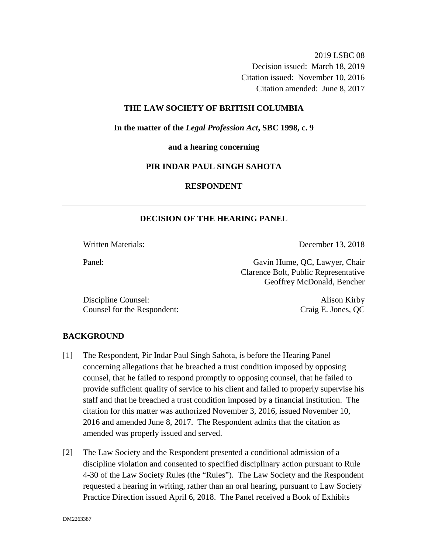2019 LSBC 08 Decision issued: March 18, 2019 Citation issued: November 10, 2016 Citation amended: June 8, 2017

## **THE LAW SOCIETY OF BRITISH COLUMBIA**

**In the matter of the** *Legal Profession Act***, SBC 1998, c. 9** 

**and a hearing concerning**

#### **PIR INDAR PAUL SINGH SAHOTA**

# **RESPONDENT**

#### **DECISION OF THE HEARING PANEL**

Written Materials: **December 13, 2018** 

Panel: Gavin Hume, OC, Lawyer, Chair Clarence Bolt, Public Representative Geoffrey McDonald, Bencher

Discipline Counsel: Alison Kirby Counsel for the Respondent: Craig E. Jones, QC

#### **BACKGROUND**

- [1] The Respondent, Pir Indar Paul Singh Sahota, is before the Hearing Panel concerning allegations that he breached a trust condition imposed by opposing counsel, that he failed to respond promptly to opposing counsel, that he failed to provide sufficient quality of service to his client and failed to properly supervise his staff and that he breached a trust condition imposed by a financial institution. The citation for this matter was authorized November 3, 2016, issued November 10, 2016 and amended June 8, 2017. The Respondent admits that the citation as amended was properly issued and served.
- [2] The Law Society and the Respondent presented a conditional admission of a discipline violation and consented to specified disciplinary action pursuant to Rule 4-30 of the Law Society Rules (the "Rules"). The Law Society and the Respondent requested a hearing in writing, rather than an oral hearing, pursuant to Law Society Practice Direction issued April 6, 2018. The Panel received a Book of Exhibits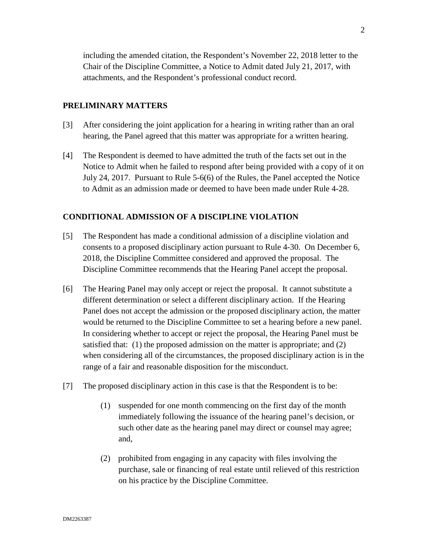including the amended citation, the Respondent's November 22, 2018 letter to the Chair of the Discipline Committee, a Notice to Admit dated July 21, 2017, with attachments, and the Respondent's professional conduct record.

## **PRELIMINARY MATTERS**

- [3] After considering the joint application for a hearing in writing rather than an oral hearing, the Panel agreed that this matter was appropriate for a written hearing.
- [4] The Respondent is deemed to have admitted the truth of the facts set out in the Notice to Admit when he failed to respond after being provided with a copy of it on July 24, 2017. Pursuant to Rule 5-6(6) of the Rules, the Panel accepted the Notice to Admit as an admission made or deemed to have been made under Rule 4-28.

# **CONDITIONAL ADMISSION OF A DISCIPLINE VIOLATION**

- [5] The Respondent has made a conditional admission of a discipline violation and consents to a proposed disciplinary action pursuant to Rule 4-30. On December 6, 2018, the Discipline Committee considered and approved the proposal. The Discipline Committee recommends that the Hearing Panel accept the proposal.
- [6] The Hearing Panel may only accept or reject the proposal. It cannot substitute a different determination or select a different disciplinary action. If the Hearing Panel does not accept the admission or the proposed disciplinary action, the matter would be returned to the Discipline Committee to set a hearing before a new panel. In considering whether to accept or reject the proposal, the Hearing Panel must be satisfied that: (1) the proposed admission on the matter is appropriate; and (2) when considering all of the circumstances, the proposed disciplinary action is in the range of a fair and reasonable disposition for the misconduct.
- [7] The proposed disciplinary action in this case is that the Respondent is to be:
	- (1) suspended for one month commencing on the first day of the month immediately following the issuance of the hearing panel's decision, or such other date as the hearing panel may direct or counsel may agree; and,
	- (2) prohibited from engaging in any capacity with files involving the purchase, sale or financing of real estate until relieved of this restriction on his practice by the Discipline Committee.

2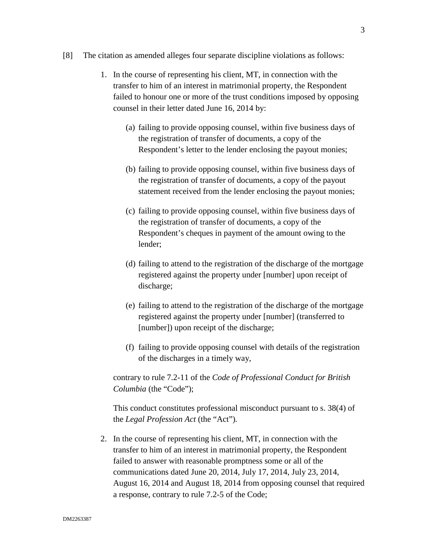- [8] The citation as amended alleges four separate discipline violations as follows:
	- 1. In the course of representing his client, MT, in connection with the transfer to him of an interest in matrimonial property, the Respondent failed to honour one or more of the trust conditions imposed by opposing counsel in their letter dated June 16, 2014 by:
		- (a) failing to provide opposing counsel, within five business days of the registration of transfer of documents, a copy of the Respondent's letter to the lender enclosing the payout monies;
		- (b) failing to provide opposing counsel, within five business days of the registration of transfer of documents, a copy of the payout statement received from the lender enclosing the payout monies;
		- (c) failing to provide opposing counsel, within five business days of the registration of transfer of documents, a copy of the Respondent's cheques in payment of the amount owing to the lender;
		- (d) failing to attend to the registration of the discharge of the mortgage registered against the property under [number] upon receipt of discharge;
		- (e) failing to attend to the registration of the discharge of the mortgage registered against the property under [number] (transferred to [number]) upon receipt of the discharge;
		- (f) failing to provide opposing counsel with details of the registration of the discharges in a timely way,

contrary to rule 7.2-11 of the *Code of Professional Conduct for British Columbia* (the "Code");

This conduct constitutes professional misconduct pursuant to s. 38(4) of the *Legal Profession Act* (the "Act")*.*

2. In the course of representing his client, MT, in connection with the transfer to him of an interest in matrimonial property, the Respondent failed to answer with reasonable promptness some or all of the communications dated June 20, 2014, July 17, 2014, July 23, 2014, August 16, 2014 and August 18, 2014 from opposing counsel that required a response, contrary to rule 7.2-5 of the Code;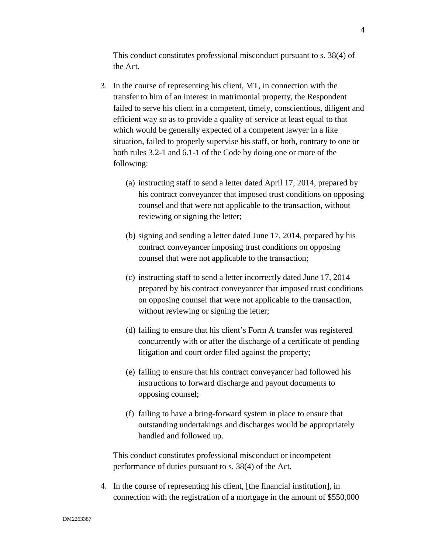This conduct constitutes professional misconduct pursuant to s. 38(4) of the Act*.*

- 3. In the course of representing his client, MT, in connection with the transfer to him of an interest in matrimonial property, the Respondent failed to serve his client in a competent, timely, conscientious, diligent and efficient way so as to provide a quality of service at least equal to that which would be generally expected of a competent lawyer in a like situation, failed to properly supervise his staff, or both, contrary to one or both rules 3.2-1 and 6.1-1 of the Code by doing one or more of the following:
	- (a) instructing staff to send a letter dated April 17, 2014, prepared by his contract conveyancer that imposed trust conditions on opposing counsel and that were not applicable to the transaction, without reviewing or signing the letter;
	- (b) signing and sending a letter dated June 17, 2014, prepared by his contract conveyancer imposing trust conditions on opposing counsel that were not applicable to the transaction;
	- (c) instructing staff to send a letter incorrectly dated June 17, 2014 prepared by his contract conveyancer that imposed trust conditions on opposing counsel that were not applicable to the transaction, without reviewing or signing the letter;
	- (d) failing to ensure that his client's Form A transfer was registered concurrently with or after the discharge of a certificate of pending litigation and court order filed against the property;
	- (e) failing to ensure that his contract conveyancer had followed his instructions to forward discharge and payout documents to opposing counsel;
	- (f) failing to have a bring-forward system in place to ensure that outstanding undertakings and discharges would be appropriately handled and followed up.

This conduct constitutes professional misconduct or incompetent performance of duties pursuant to s. 38(4) of the Act*.*

4. In the course of representing his client, [the financial institution], in connection with the registration of a mortgage in the amount of \$550,000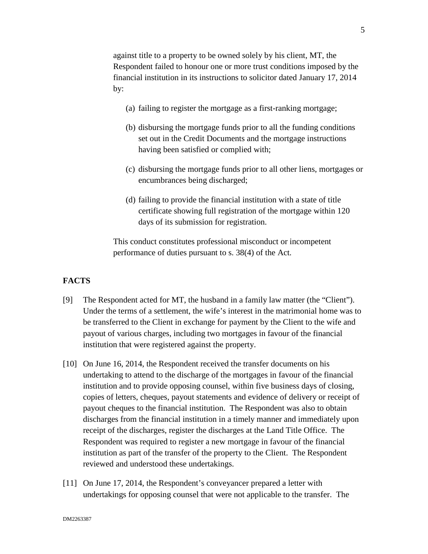against title to a property to be owned solely by his client, MT, the Respondent failed to honour one or more trust conditions imposed by the financial institution in its instructions to solicitor dated January 17, 2014 by:

- (a) failing to register the mortgage as a first-ranking mortgage;
- (b) disbursing the mortgage funds prior to all the funding conditions set out in the Credit Documents and the mortgage instructions having been satisfied or complied with;
- (c) disbursing the mortgage funds prior to all other liens, mortgages or encumbrances being discharged;
- (d) failing to provide the financial institution with a state of title certificate showing full registration of the mortgage within 120 days of its submission for registration.

This conduct constitutes professional misconduct or incompetent performance of duties pursuant to s. 38(4) of the Act*.*

## **FACTS**

- [9] The Respondent acted for MT, the husband in a family law matter (the "Client"). Under the terms of a settlement, the wife's interest in the matrimonial home was to be transferred to the Client in exchange for payment by the Client to the wife and payout of various charges, including two mortgages in favour of the financial institution that were registered against the property.
- [10] On June 16, 2014, the Respondent received the transfer documents on his undertaking to attend to the discharge of the mortgages in favour of the financial institution and to provide opposing counsel, within five business days of closing, copies of letters, cheques, payout statements and evidence of delivery or receipt of payout cheques to the financial institution. The Respondent was also to obtain discharges from the financial institution in a timely manner and immediately upon receipt of the discharges, register the discharges at the Land Title Office. The Respondent was required to register a new mortgage in favour of the financial institution as part of the transfer of the property to the Client. The Respondent reviewed and understood these undertakings.
- [11] On June 17, 2014, the Respondent's conveyancer prepared a letter with undertakings for opposing counsel that were not applicable to the transfer. The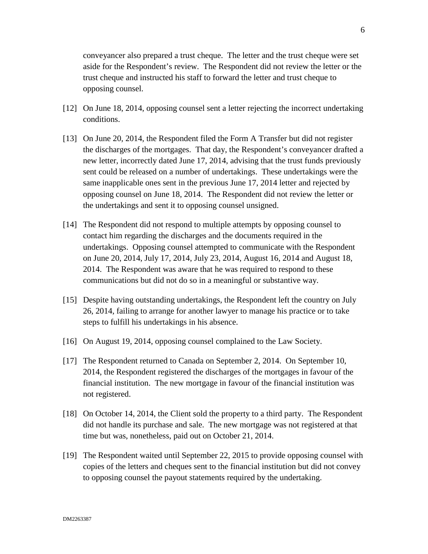conveyancer also prepared a trust cheque. The letter and the trust cheque were set aside for the Respondent's review. The Respondent did not review the letter or the trust cheque and instructed his staff to forward the letter and trust cheque to opposing counsel.

- [12] On June 18, 2014, opposing counsel sent a letter rejecting the incorrect undertaking conditions.
- [13] On June 20, 2014, the Respondent filed the Form A Transfer but did not register the discharges of the mortgages. That day, the Respondent's conveyancer drafted a new letter, incorrectly dated June 17, 2014, advising that the trust funds previously sent could be released on a number of undertakings. These undertakings were the same inapplicable ones sent in the previous June 17, 2014 letter and rejected by opposing counsel on June 18, 2014. The Respondent did not review the letter or the undertakings and sent it to opposing counsel unsigned.
- [14] The Respondent did not respond to multiple attempts by opposing counsel to contact him regarding the discharges and the documents required in the undertakings. Opposing counsel attempted to communicate with the Respondent on June 20, 2014, July 17, 2014, July 23, 2014, August 16, 2014 and August 18, 2014. The Respondent was aware that he was required to respond to these communications but did not do so in a meaningful or substantive way.
- [15] Despite having outstanding undertakings, the Respondent left the country on July 26, 2014, failing to arrange for another lawyer to manage his practice or to take steps to fulfill his undertakings in his absence.
- [16] On August 19, 2014, opposing counsel complained to the Law Society.
- [17] The Respondent returned to Canada on September 2, 2014. On September 10, 2014, the Respondent registered the discharges of the mortgages in favour of the financial institution. The new mortgage in favour of the financial institution was not registered.
- [18] On October 14, 2014, the Client sold the property to a third party. The Respondent did not handle its purchase and sale. The new mortgage was not registered at that time but was, nonetheless, paid out on October 21, 2014.
- [19] The Respondent waited until September 22, 2015 to provide opposing counsel with copies of the letters and cheques sent to the financial institution but did not convey to opposing counsel the payout statements required by the undertaking.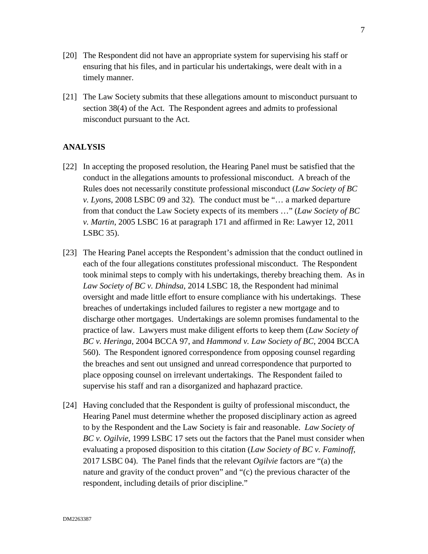- [20] The Respondent did not have an appropriate system for supervising his staff or ensuring that his files, and in particular his undertakings, were dealt with in a timely manner.
- [21] The Law Society submits that these allegations amount to misconduct pursuant to section 38(4) of the Act. The Respondent agrees and admits to professional misconduct pursuant to the Act.

#### **ANALYSIS**

- [22] In accepting the proposed resolution, the Hearing Panel must be satisfied that the conduct in the allegations amounts to professional misconduct. A breach of the Rules does not necessarily constitute professional misconduct (*Law Society of BC v. Lyons*, 2008 LSBC 09 and 32). The conduct must be "… a marked departure from that conduct the Law Society expects of its members …" (*Law Society of BC v. Martin*, 2005 LSBC 16 at paragraph 171 and affirmed in Re: Lawyer 12, 2011 LSBC 35).
- [23] The Hearing Panel accepts the Respondent's admission that the conduct outlined in each of the four allegations constitutes professional misconduct. The Respondent took minimal steps to comply with his undertakings, thereby breaching them. As in *Law Society of BC v. Dhindsa*, 2014 LSBC 18, the Respondent had minimal oversight and made little effort to ensure compliance with his undertakings. These breaches of undertakings included failures to register a new mortgage and to discharge other mortgages. Undertakings are solemn promises fundamental to the practice of law. Lawyers must make diligent efforts to keep them (*Law Society of BC v. Heringa*, 2004 BCCA 97, and *Hammond v. Law Society of BC*, 2004 BCCA 560). The Respondent ignored correspondence from opposing counsel regarding the breaches and sent out unsigned and unread correspondence that purported to place opposing counsel on irrelevant undertakings. The Respondent failed to supervise his staff and ran a disorganized and haphazard practice.
- [24] Having concluded that the Respondent is guilty of professional misconduct, the Hearing Panel must determine whether the proposed disciplinary action as agreed to by the Respondent and the Law Society is fair and reasonable. *Law Society of BC v. Ogilvie*, 1999 LSBC 17 sets out the factors that the Panel must consider when evaluating a proposed disposition to this citation (*Law Society of BC v. Faminoff*, 2017 LSBC 04). The Panel finds that the relevant *Ogilvie* factors are "(a) the nature and gravity of the conduct proven" and "(c) the previous character of the respondent, including details of prior discipline."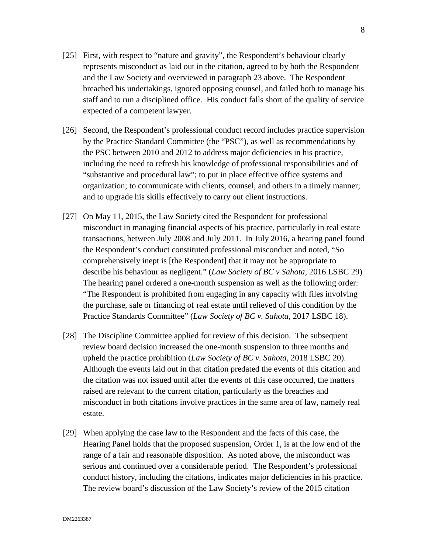- [25] First, with respect to "nature and gravity", the Respondent's behaviour clearly represents misconduct as laid out in the citation, agreed to by both the Respondent and the Law Society and overviewed in paragraph 23 above. The Respondent breached his undertakings, ignored opposing counsel, and failed both to manage his staff and to run a disciplined office. His conduct falls short of the quality of service expected of a competent lawyer.
- [26] Second, the Respondent's professional conduct record includes practice supervision by the Practice Standard Committee (the "PSC"), as well as recommendations by the PSC between 2010 and 2012 to address major deficiencies in his practice, including the need to refresh his knowledge of professional responsibilities and of "substantive and procedural law"; to put in place effective office systems and organization; to communicate with clients, counsel, and others in a timely manner; and to upgrade his skills effectively to carry out client instructions.
- [27] On May 11, 2015, the Law Society cited the Respondent for professional misconduct in managing financial aspects of his practice, particularly in real estate transactions, between July 2008 and July 2011. In July 2016, a hearing panel found the Respondent's conduct constituted professional misconduct and noted, "So comprehensively inept is [the Respondent] that it may not be appropriate to describe his behaviour as negligent." (*Law Society of BC v Sahota*, 2016 LSBC 29) The hearing panel ordered a one-month suspension as well as the following order: "The Respondent is prohibited from engaging in any capacity with files involving the purchase, sale or financing of real estate until relieved of this condition by the Practice Standards Committee" (*Law Society of BC v. Sahota*, 2017 LSBC 18).
- [28] The Discipline Committee applied for review of this decision. The subsequent review board decision increased the one-month suspension to three months and upheld the practice prohibition (*Law Society of BC v. Sahota*, 2018 LSBC 20). Although the events laid out in that citation predated the events of this citation and the citation was not issued until after the events of this case occurred, the matters raised are relevant to the current citation, particularly as the breaches and misconduct in both citations involve practices in the same area of law, namely real estate.
- [29] When applying the case law to the Respondent and the facts of this case, the Hearing Panel holds that the proposed suspension, Order 1, is at the low end of the range of a fair and reasonable disposition. As noted above, the misconduct was serious and continued over a considerable period. The Respondent's professional conduct history, including the citations, indicates major deficiencies in his practice. The review board's discussion of the Law Society's review of the 2015 citation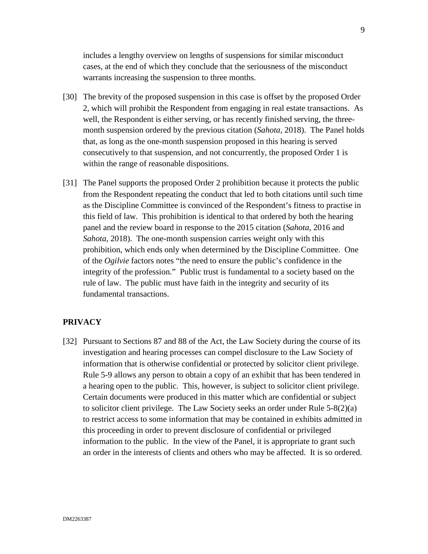includes a lengthy overview on lengths of suspensions for similar misconduct cases, at the end of which they conclude that the seriousness of the misconduct warrants increasing the suspension to three months.

- [30] The brevity of the proposed suspension in this case is offset by the proposed Order 2, which will prohibit the Respondent from engaging in real estate transactions. As well, the Respondent is either serving, or has recently finished serving, the threemonth suspension ordered by the previous citation (*Sahota*, 2018). The Panel holds that, as long as the one-month suspension proposed in this hearing is served consecutively to that suspension, and not concurrently, the proposed Order 1 is within the range of reasonable dispositions.
- [31] The Panel supports the proposed Order 2 prohibition because it protects the public from the Respondent repeating the conduct that led to both citations until such time as the Discipline Committee is convinced of the Respondent's fitness to practise in this field of law. This prohibition is identical to that ordered by both the hearing panel and the review board in response to the 2015 citation (*Sahota*, 2016 and *Sahota*, 2018). The one-month suspension carries weight only with this prohibition, which ends only when determined by the Discipline Committee. One of the *Ogilvie* factors notes "the need to ensure the public's confidence in the integrity of the profession." Public trust is fundamental to a society based on the rule of law. The public must have faith in the integrity and security of its fundamental transactions.

#### **PRIVACY**

[32] Pursuant to Sections 87 and 88 of the Act, the Law Society during the course of its investigation and hearing processes can compel disclosure to the Law Society of information that is otherwise confidential or protected by solicitor client privilege. Rule 5-9 allows any person to obtain a copy of an exhibit that has been tendered in a hearing open to the public. This, however, is subject to solicitor client privilege. Certain documents were produced in this matter which are confidential or subject to solicitor client privilege. The Law Society seeks an order under Rule  $5-8(2)(a)$ to restrict access to some information that may be contained in exhibits admitted in this proceeding in order to prevent disclosure of confidential or privileged information to the public. In the view of the Panel, it is appropriate to grant such an order in the interests of clients and others who may be affected. It is so ordered.